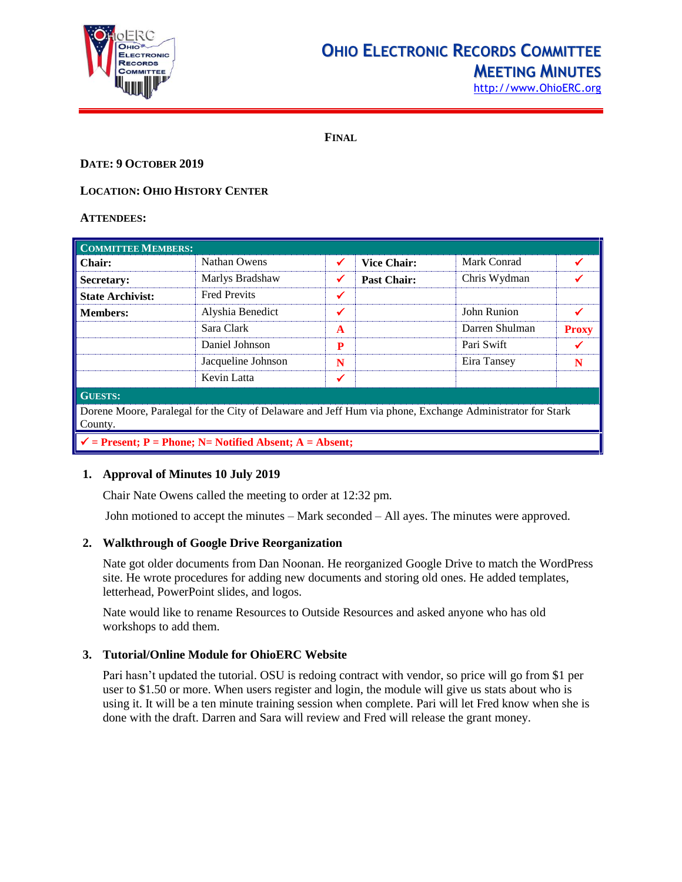

## **OHIO ELECTRONIC RECORDS COMMITTEE MEETING MINUTES**

[http://www.OhioERC.org](http://www.ohioerc.org/)

**FINAL**

#### **DATE: 9 OCTOBER 2019**

### **LOCATION: OHIO HISTORY CENTER**

#### **ATTENDEES:**

| <b>COMMITTEE MEMBERS:</b>                                                                                            |                     |              |                    |                |              |  |
|----------------------------------------------------------------------------------------------------------------------|---------------------|--------------|--------------------|----------------|--------------|--|
| Chair:                                                                                                               | Nathan Owens        | $\checkmark$ | <b>Vice Chair:</b> | Mark Conrad    |              |  |
| Secretary:                                                                                                           | Marlys Bradshaw     | ✔            | <b>Past Chair:</b> | Chris Wydman   |              |  |
| <b>State Archivist:</b>                                                                                              | <b>Fred Previts</b> | ✔            |                    |                |              |  |
| <b>Members:</b>                                                                                                      | Alyshia Benedict    | ✔            |                    | John Runion    |              |  |
|                                                                                                                      | Sara Clark          | $\mathbf{A}$ |                    | Darren Shulman | <b>Proxy</b> |  |
|                                                                                                                      | Daniel Johnson      | P            |                    | Pari Swift     |              |  |
|                                                                                                                      | Jacqueline Johnson  | N            |                    | Eira Tansey    | N            |  |
|                                                                                                                      | Kevin Latta         | ✔            |                    |                |              |  |
| <b>GUESTS:</b>                                                                                                       |                     |              |                    |                |              |  |
| Dorene Moore, Paralegal for the City of Delaware and Jeff Hum via phone, Exchange Administrator for Stark<br>County. |                     |              |                    |                |              |  |
| $\checkmark$ = Present; P = Phone; N = Notified Absent; A = Absent;                                                  |                     |              |                    |                |              |  |

## **1. Approval of Minutes 10 July 2019**

Chair Nate Owens called the meeting to order at 12:32 pm.

John motioned to accept the minutes – Mark seconded – All ayes. The minutes were approved.

#### **2. Walkthrough of Google Drive Reorganization**

Nate got older documents from Dan Noonan. He reorganized Google Drive to match the WordPress site. He wrote procedures for adding new documents and storing old ones. He added templates, letterhead, PowerPoint slides, and logos.

Nate would like to rename Resources to Outside Resources and asked anyone who has old workshops to add them.

#### **3. Tutorial/Online Module for OhioERC Website**

Pari hasn't updated the tutorial. OSU is redoing contract with vendor, so price will go from \$1 per user to \$1.50 or more. When users register and login, the module will give us stats about who is using it. It will be a ten minute training session when complete. Pari will let Fred know when she is done with the draft. Darren and Sara will review and Fred will release the grant money.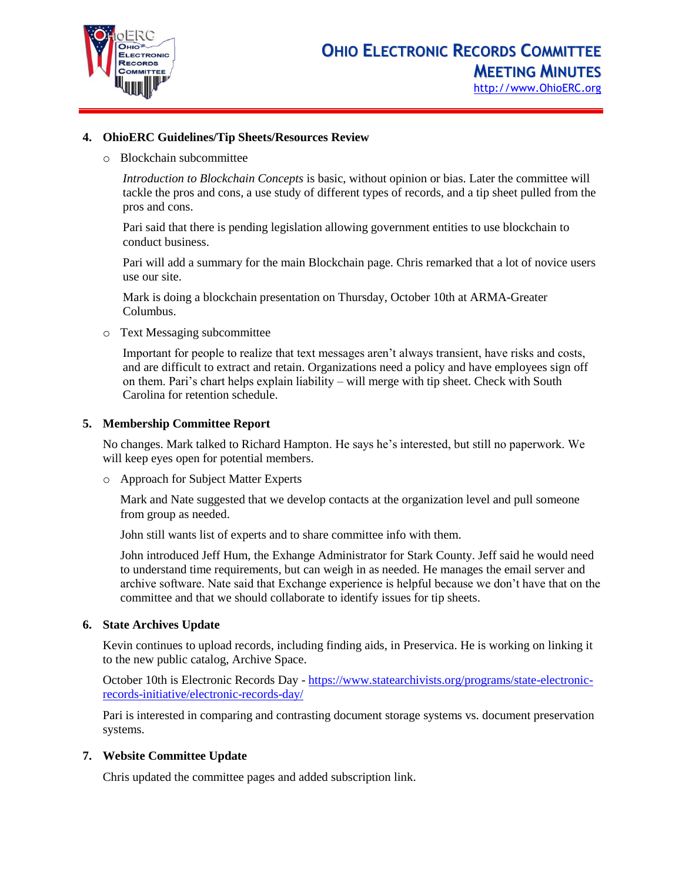

#### **4. OhioERC Guidelines/Tip Sheets/Resources Review**

o Blockchain subcommittee

*Introduction to Blockchain Concepts* is basic, without opinion or bias. Later the committee will tackle the pros and cons, a use study of different types of records, and a tip sheet pulled from the pros and cons.

Pari said that there is pending legislation allowing government entities to use blockchain to conduct business.

Pari will add a summary for the main Blockchain page. Chris remarked that a lot of novice users use our site.

Mark is doing a blockchain presentation on Thursday, October 10th at ARMA-Greater Columbus.

o Text Messaging subcommittee

Important for people to realize that text messages aren't always transient, have risks and costs, and are difficult to extract and retain. Organizations need a policy and have employees sign off on them. Pari's chart helps explain liability – will merge with tip sheet. Check with South Carolina for retention schedule.

#### **5. Membership Committee Report**

No changes. Mark talked to Richard Hampton. He says he's interested, but still no paperwork. We will keep eyes open for potential members.

o Approach for Subject Matter Experts

Mark and Nate suggested that we develop contacts at the organization level and pull someone from group as needed.

John still wants list of experts and to share committee info with them.

John introduced Jeff Hum, the Exhange Administrator for Stark County. Jeff said he would need to understand time requirements, but can weigh in as needed. He manages the email server and archive software. Nate said that Exchange experience is helpful because we don't have that on the committee and that we should collaborate to identify issues for tip sheets.

#### **6. State Archives Update**

Kevin continues to upload records, including finding aids, in Preservica. He is working on linking it to the new public catalog, Archive Space.

October 10th is Electronic Records Day - [https://www.statearchivists.org/programs/state-electronic](https://www.statearchivists.org/programs/state-electronic-records-initiative/electronic-records-day/)[records-initiative/electronic-records-day/](https://www.statearchivists.org/programs/state-electronic-records-initiative/electronic-records-day/)

Pari is interested in comparing and contrasting document storage systems vs. document preservation systems.

#### **7. Website Committee Update**

Chris updated the committee pages and added subscription link.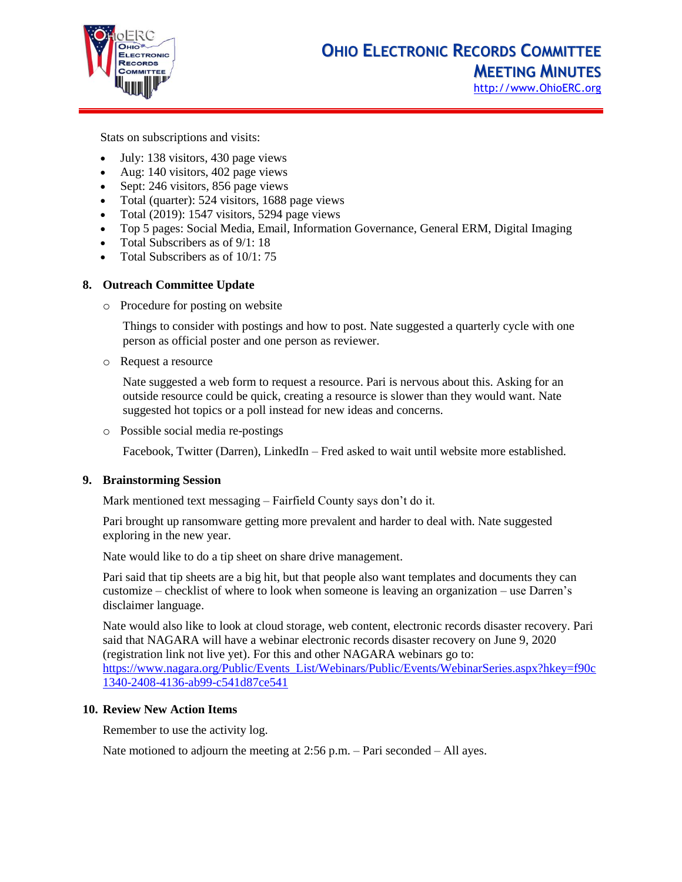

Stats on subscriptions and visits:

- July: 138 visitors, 430 page views
- Aug: 140 visitors, 402 page views
- Sept: 246 visitors, 856 page views
- Total (quarter): 524 visitors, 1688 page views
- Total (2019): 1547 visitors, 5294 page views
- Top 5 pages: Social Media, Email, Information Governance, General ERM, Digital Imaging
- Total Subscribers as of  $9/1: 18$
- Total Subscribers as of 10/1: 75

#### **8. Outreach Committee Update**

o Procedure for posting on website

Things to consider with postings and how to post. Nate suggested a quarterly cycle with one person as official poster and one person as reviewer.

o Request a resource

Nate suggested a web form to request a resource. Pari is nervous about this. Asking for an outside resource could be quick, creating a resource is slower than they would want. Nate suggested hot topics or a poll instead for new ideas and concerns.

o Possible social media re-postings

Facebook, Twitter (Darren), LinkedIn – Fred asked to wait until website more established.

#### **9. Brainstorming Session**

Mark mentioned text messaging – Fairfield County says don't do it.

Pari brought up ransomware getting more prevalent and harder to deal with. Nate suggested exploring in the new year.

Nate would like to do a tip sheet on share drive management.

Pari said that tip sheets are a big hit, but that people also want templates and documents they can customize – checklist of where to look when someone is leaving an organization – use Darren's disclaimer language.

Nate would also like to look at cloud storage, web content, electronic records disaster recovery. Pari said that NAGARA will have a webinar electronic records disaster recovery on June 9, 2020 (registration link not live yet). For this and other NAGARA webinars go to: [https://www.nagara.org/Public/Events\\_List/Webinars/Public/Events/WebinarSeries.aspx?hkey=f90c](https://www.nagara.org/Public/Events_List/Webinars/Public/Events/WebinarSeries.aspx?hkey=f90c1340-2408-4136-ab99-c541d87ce541) [1340-2408-4136-ab99-c541d87ce541](https://www.nagara.org/Public/Events_List/Webinars/Public/Events/WebinarSeries.aspx?hkey=f90c1340-2408-4136-ab99-c541d87ce541)

#### **10. Review New Action Items**

Remember to use the activity log.

Nate motioned to adjourn the meeting at 2:56 p.m. – Pari seconded – All ayes.